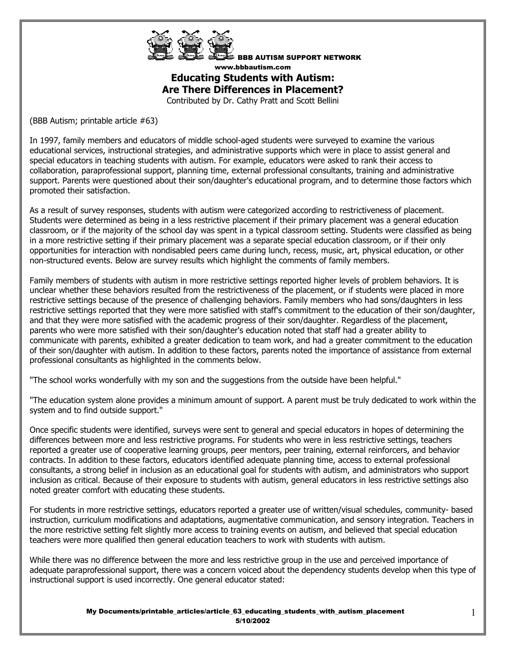

BBB AUTISM SUPPORT NETWORK www.bbbautism.com

# **Educating Students with Autism: Are There Differences in Placement?**

Contributed by Dr. Cathy Pratt and Scott Bellini

(BBB Autism; printable article #63)

In 1997, family members and educators of middle school-aged students were surveyed to examine the various educational services, instructional strategies, and administrative supports which were in place to assist general and special educators in teaching students with autism. For example, educators were asked to rank their access to collaboration, paraprofessional support, planning time, external professional consultants, training and administrative support. Parents were questioned about their son/daughter's educational program, and to determine those factors which promoted their satisfaction.

As a result of survey responses, students with autism were categorized according to restrictiveness of placement. Students were determined as being in a less restrictive placement if their primary placement was a general education classroom, or if the majority of the school day was spent in a typical classroom setting. Students were classified as being in a more restrictive setting if their primary placement was a separate special education classroom, or if their only opportunities for interaction with nondisabled peers came during lunch, recess, music, art, physical education, or other non-structured events. Below are survey results which highlight the comments of family members.

Family members of students with autism in more restrictive settings reported higher levels of problem behaviors. It is unclear whether these behaviors resulted from the restrictiveness of the placement, or if students were placed in more restrictive settings because of the presence of challenging behaviors. Family members who had sons/daughters in less restrictive settings reported that they were more satisfied with staff's commitment to the education of their son/daughter, and that they were more satisfied with the academic progress of their son/daughter. Regardless of the placement, parents who were more satisfied with their son/daughter's education noted that staff had a greater ability to communicate with parents, exhibited a greater dedication to team work, and had a greater commitment to the education of their son/daughter with autism. In addition to these factors, parents noted the importance of assistance from external professional consultants as highlighted in the comments below.

"The school works wonderfully with my son and the suggestions from the outside have been helpful."

"The education system alone provides a minimum amount of support. A parent must be truly dedicated to work within the system and to find outside support."

Once specific students were identified, surveys were sent to general and special educators in hopes of determining the differences between more and less restrictive programs. For students who were in less restrictive settings, teachers reported a greater use of cooperative learning groups, peer mentors, peer training, external reinforcers, and behavior contracts. In addition to these factors, educators identified adequate planning time, access to external professional consultants, a strong belief in inclusion as an educational goal for students with autism, and administrators who support inclusion as critical. Because of their exposure to students with autism, general educators in less restrictive settings also noted greater comfort with educating these students.

For students in more restrictive settings, educators reported a greater use of written/visual schedules, community- based instruction, curriculum modifications and adaptations, augmentative communication, and sensory integration. Teachers in the more restrictive setting felt slightly more access to training events on autism, and believed that special education teachers were more qualified then general education teachers to work with students with autism.

While there was no difference between the more and less restrictive group in the use and perceived importance of adequate paraprofessional support, there was a concern voiced about the dependency students develop when this type of instructional support is used incorrectly. One general educator stated:

> My Documents/printable\_articles/article\_63\_educating\_students\_with\_autism\_placement 5/10/2002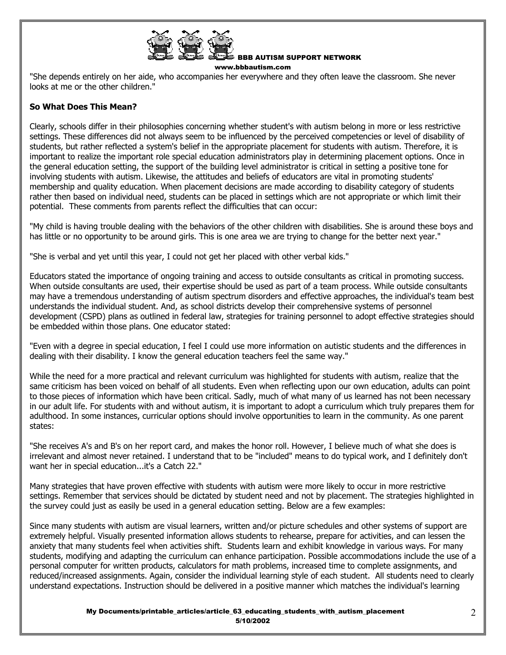

BBB AUTISM SUPPORT NETWORK www.bbbautism.com

"She depends entirely on her aide, who accompanies her everywhere and they often leave the classroom. She never looks at me or the other children.'

# **So What Does This Mean?**

Clearly, schools differ in their philosophies concerning whether student's with autism belong in more or less restrictive settings. These differences did not always seem to be influenced by the perceived competencies or level of disability of students, but rather reflected a system's belief in the appropriate placement for students with autism. Therefore, it is important to realize the important role special education administrators play in determining placement options. Once in the general education setting, the support of the building level administrator is critical in setting a positive tone for involving students with autism. Likewise, the attitudes and beliefs of educators are vital in promoting students' membership and quality education. When placement decisions are made according to disability category of students rather then based on individual need, students can be placed in settings which are not appropriate or which limit their potential. These comments from parents reflect the difficulties that can occur:

"My child is having trouble dealing with the behaviors of the other children with disabilities. She is around these boys and has little or no opportunity to be around girls. This is one area we are trying to change for the better next year."

"She is verbal and yet until this year, I could not get her placed with other verbal kids."

Educators stated the importance of ongoing training and access to outside consultants as critical in promoting success. When outside consultants are used, their expertise should be used as part of a team process. While outside consultants may have a tremendous understanding of autism spectrum disorders and effective approaches, the individual's team best understands the individual student. And, as school districts develop their comprehensive systems of personnel development (CSPD) plans as outlined in federal law, strategies for training personnel to adopt effective strategies should be embedded within those plans. One educator stated:

"Even with a degree in special education, I feel I could use more information on autistic students and the differences in dealing with their disability. I know the general education teachers feel the same way."

While the need for a more practical and relevant curriculum was highlighted for students with autism, realize that the same criticism has been voiced on behalf of all students. Even when reflecting upon our own education, adults can point to those pieces of information which have been critical. Sadly, much of what many of us learned has not been necessary in our adult life. For students with and without autism, it is important to adopt a curriculum which truly prepares them for adulthood. In some instances, curricular options should involve opportunities to learn in the community. As one parent states:

"She receives A's and B's on her report card, and makes the honor roll. However, I believe much of what she does is irrelevant and almost never retained. I understand that to be "included" means to do typical work, and I definitely don't want her in special education...it's a Catch 22."

Many strategies that have proven effective with students with autism were more likely to occur in more restrictive settings. Remember that services should be dictated by student need and not by placement. The strategies highlighted in the survey could just as easily be used in a general education setting. Below are a few examples:

Since many students with autism are visual learners, written and/or picture schedules and other systems of support are extremely helpful. Visually presented information allows students to rehearse, prepare for activities, and can lessen the anxiety that many students feel when activities shift. Students learn and exhibit knowledge in various ways. For many students, modifying and adapting the curriculum can enhance participation. Possible accommodations include the use of a personal computer for written products, calculators for math problems, increased time to complete assignments, and reduced/increased assignments. Again, consider the individual learning style of each student. All students need to clearly understand expectations. Instruction should be delivered in a positive manner which matches the individual's learning